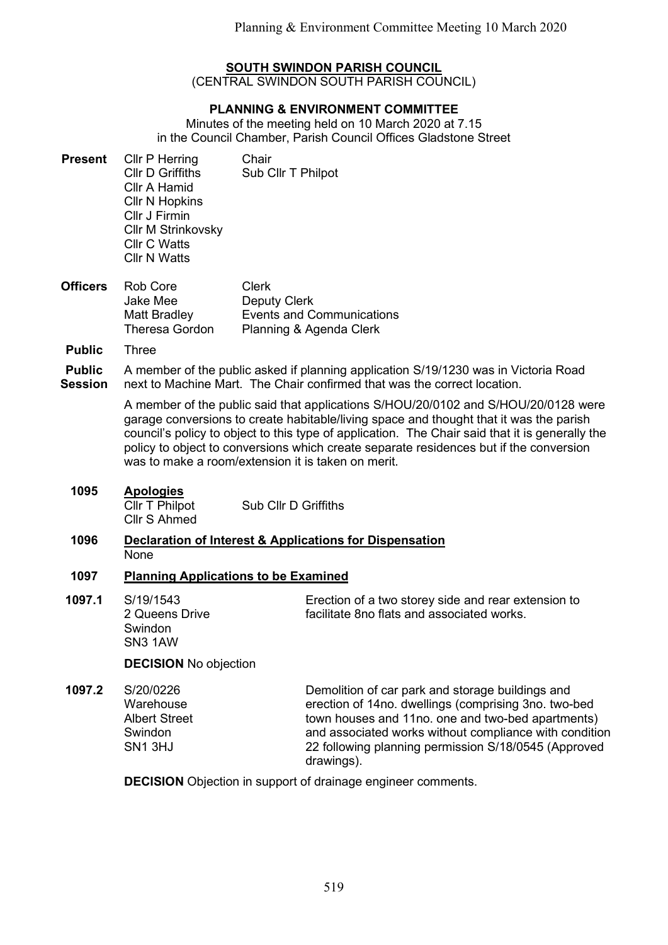# SOUTH SWINDON PARISH COUNCIL

(CENTRAL SWINDON SOUTH PARISH COUNCIL)

# PLANNING & ENVIRONMENT COMMITTEE

Minutes of the meeting held on 10 March 2020 at 7.15 in the Council Chamber, Parish Council Offices Gladstone Street

- **Present** Cllr P Herring Chair Cllr D Griffiths Sub Cllr T Philpot Cllr A Hamid Cllr N Hopkins Cllr J Firmin Cllr M Strinkovsky Cllr C Watts Cllr N Watts
- **Officers** Rob Core Jake Mee Matt Bradley Theresa Gordon Clerk Deputy Clerk Events and Communications Planning & Agenda Clerk
- Public Three

Public **Session** A member of the public asked if planning application S/19/1230 was in Victoria Road next to Machine Mart. The Chair confirmed that was the correct location.

> A member of the public said that applications S/HOU/20/0102 and S/HOU/20/0128 were garage conversions to create habitable/living space and thought that it was the parish council's policy to object to this type of application. The Chair said that it is generally the policy to object to conversions which create separate residences but if the conversion was to make a room/extension it is taken on merit.

1095 Apologies

Cllr T Philpot Cllr S Ahmed Sub Cllr D Griffiths

### 1096 Declaration of Interest & Applications for Dispensation None

## 1097 Planning Applications to be Examined

1097.1 S/19/1543 2 Queens Drive **Swindon** SN3 1AW

Erection of a two storey side and rear extension to facilitate 8no flats and associated works.

DECISION No objection

1097.2 S/20/0226 **Warehouse** Albert Street Swindon SN1 3HJ

Demolition of car park and storage buildings and erection of 14no. dwellings (comprising 3no. two-bed town houses and 11no. one and two-bed apartments) and associated works without compliance with condition 22 following planning permission S/18/0545 (Approved drawings).

DECISION Objection in support of drainage engineer comments.